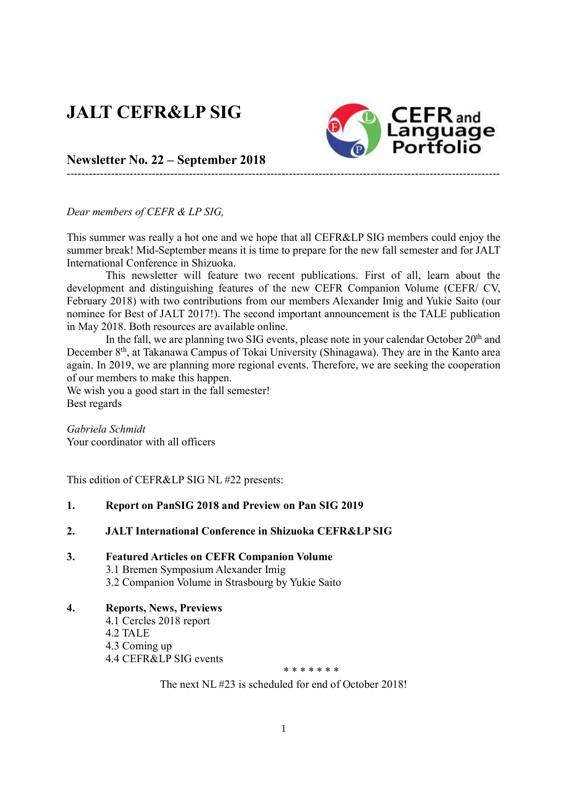# JALT CEFR&LP SIG



Newsletter No. 22 – September 2018

Dear members of CEFR & LP SIG,

This summer was really a hot one and we hope that all CEFR&LP SIG members could enjoy the summer break! Mid-September means it is time to prepare for the new fall semester and for JALT International Conference in Shizuoka.

---------------------------------------------------------------------------------------------------------------------

This newsletter will feature two recent publications. First of all, learn about the development and distinguishing features of the new CEFR Companion Volume (CEFR/ CV, February 2018) with two contributions from our members Alexander Imig and Yukie Saito (our nominee for Best of JALT 2017!). The second important announcement is the TALE publication in May 2018. Both resources are available online.

In the fall, we are planning two SIG events, please note in your calendar October 20<sup>th</sup> and December 8<sup>th</sup>, at Takanawa Campus of Tokai University (Shinagawa). They are in the Kanto area again. In 2019, we are planning more regional events. Therefore, we are seeking the cooperation of our members to make this happen.

We wish you a good start in the fall semester! Best regards

Gabriela Schmidt Your coordinator with all officers

This edition of CEFR&LP SIG NL #22 presents:

#### 1. Report on PanSIG 2018 and Preview on Pan SIG 2019

#### 2. JALT International Conference in Shizuoka CEFR&LP SIG

- 3. Featured Articles on CEFR Companion Volume 3.1 Bremen Symposium Alexander Imig 3.2 Companion Volume in Strasbourg by Yukie Saito
- 4. Reports, News, Previews 4.1 Cercles 2018 report 4.2 TALE 4.3 Coming up 4.4 CEFR&LP SIG events

\* \* \* \* \* \* \*

The next NL #23 is scheduled for end of October 2018!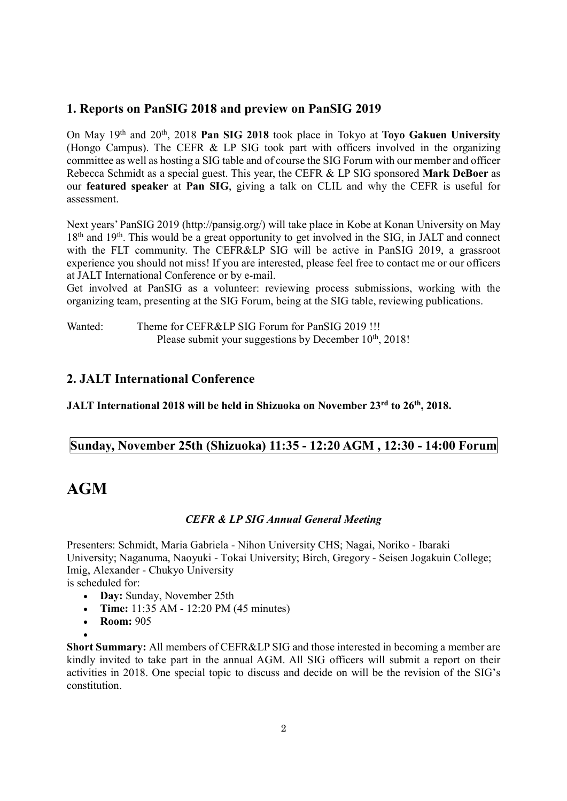## 1. Reports on PanSIG 2018 and preview on PanSIG 2019

On May  $19<sup>th</sup>$  and  $20<sup>th</sup>$ ,  $2018$  Pan SIG 2018 took place in Tokyo at Toyo Gakuen University (Hongo Campus). The CEFR & LP SIG took part with officers involved in the organizing committee as well as hosting a SIG table and of course the SIG Forum with our member and officer Rebecca Schmidt as a special guest. This year, the CEFR & LP SIG sponsored Mark DeBoer as our featured speaker at Pan SIG, giving a talk on CLIL and why the CEFR is useful for assessment.

Next years' PanSIG 2019 (http://pansig.org/) will take place in Kobe at Konan University on May  $18<sup>th</sup>$  and  $19<sup>th</sup>$ . This would be a great opportunity to get involved in the SIG, in JALT and connect with the FLT community. The CEFR&LP SIG will be active in PanSIG 2019, a grassroot experience you should not miss! If you are interested, please feel free to contact me or our officers at JALT International Conference or by e-mail.

Get involved at PanSIG as a volunteer: reviewing process submissions, working with the organizing team, presenting at the SIG Forum, being at the SIG table, reviewing publications.

Wanted: Theme for CEFR&LP SIG Forum for PanSIG 2019 !!! Please submit your suggestions by December  $10<sup>th</sup>$ , 2018!

## 2. JALT International Conference

JALT International 2018 will be held in Shizuoka on November 23rd to 26<sup>th</sup>, 2018.

## Sunday, November 25th (Shizuoka) 11:35 - 12:20 AGM , 12:30 - 14:00 Forum

## AGM

#### CEFR & LP SIG Annual General Meeting

Presenters: Schmidt, Maria Gabriela - Nihon University CHS; Nagai, Noriko - Ibaraki University; Naganuma, Naoyuki - Tokai University; Birch, Gregory - Seisen Jogakuin College; Imig, Alexander - Chukyo University

is scheduled for:

- Day: Sunday, November 25th
- Time:  $11:35$  AM  $12:20$  PM (45 minutes)
- Room: 905

 $\bullet$ 

Short Summary: All members of CEFR&LP SIG and those interested in becoming a member are kindly invited to take part in the annual AGM. All SIG officers will submit a report on their activities in 2018. One special topic to discuss and decide on will be the revision of the SIG's constitution.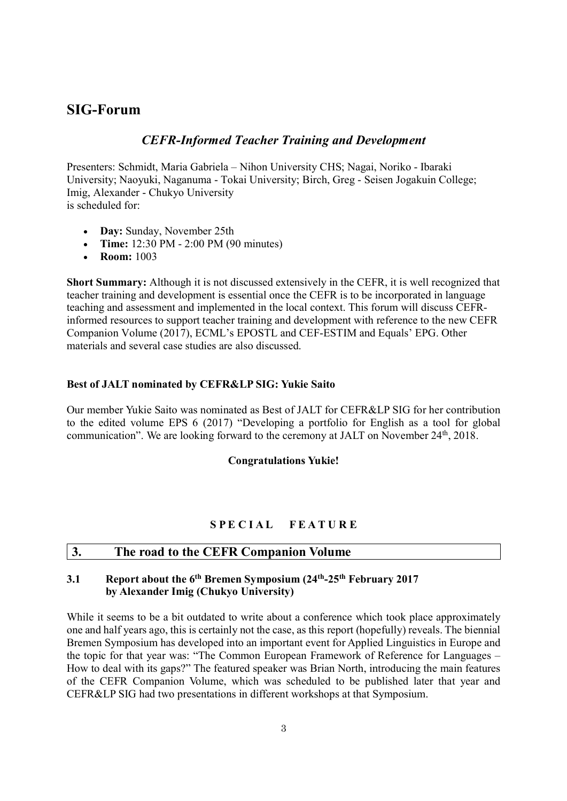## SIG-Forum

## CEFR-Informed Teacher Training and Development

Presenters: Schmidt, Maria Gabriela – Nihon University CHS; Nagai, Noriko - Ibaraki University; Naoyuki, Naganuma - Tokai University; Birch, Greg - Seisen Jogakuin College; Imig, Alexander - Chukyo University is scheduled for:

- Day: Sunday, November 25th
- Time:  $12:30 \text{ PM} 2:00 \text{ PM} (90 \text{ minutes})$
- Room: 1003

Short Summary: Although it is not discussed extensively in the CEFR, it is well recognized that teacher training and development is essential once the CEFR is to be incorporated in language teaching and assessment and implemented in the local context. This forum will discuss CEFRinformed resources to support teacher training and development with reference to the new CEFR Companion Volume (2017), ECML's EPOSTL and CEF-ESTIM and Equals' EPG. Other materials and several case studies are also discussed.

#### Best of JALT nominated by CEFR&LP SIG: Yukie Saito

Our member Yukie Saito was nominated as Best of JALT for CEFR&LP SIG for her contribution to the edited volume EPS 6 (2017) "Developing a portfolio for English as a tool for global communication". We are looking forward to the ceremony at JALT on November  $24<sup>th</sup>$ ,  $2018$ .

#### Congratulations Yukie!

#### SPECIAL FEATURE

#### 3. The road to the CEFR Companion Volume

### 3.1 Report about the  $6<sup>th</sup>$  Bremen Symposium (24<sup>th</sup>-25<sup>th</sup> February 2017 by Alexander Imig (Chukyo University)

While it seems to be a bit outdated to write about a conference which took place approximately one and half years ago, this is certainly not the case, as this report (hopefully) reveals. The biennial Bremen Symposium has developed into an important event for Applied Linguistics in Europe and the topic for that year was: "The Common European Framework of Reference for Languages – How to deal with its gaps?" The featured speaker was Brian North, introducing the main features of the CEFR Companion Volume, which was scheduled to be published later that year and CEFR&LP SIG had two presentations in different workshops at that Symposium.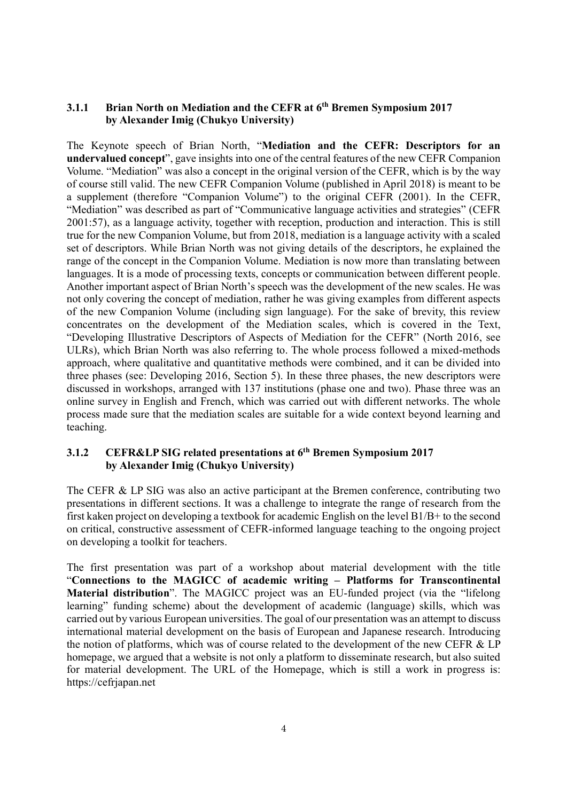#### 3.1.1 Brian North on Mediation and the CEFR at 6<sup>th</sup> Bremen Symposium 2017 by Alexander Imig (Chukyo University)

The Keynote speech of Brian North, "Mediation and the CEFR: Descriptors for an undervalued concept", gave insights into one of the central features of the new CEFR Companion Volume. "Mediation" was also a concept in the original version of the CEFR, which is by the way of course still valid. The new CEFR Companion Volume (published in April 2018) is meant to be a supplement (therefore "Companion Volume") to the original CEFR (2001). In the CEFR, "Mediation" was described as part of "Communicative language activities and strategies" (CEFR 2001:57), as a language activity, together with reception, production and interaction. This is still true for the new Companion Volume, but from 2018, mediation is a language activity with a scaled set of descriptors. While Brian North was not giving details of the descriptors, he explained the range of the concept in the Companion Volume. Mediation is now more than translating between languages. It is a mode of processing texts, concepts or communication between different people. Another important aspect of Brian North's speech was the development of the new scales. He was not only covering the concept of mediation, rather he was giving examples from different aspects of the new Companion Volume (including sign language). For the sake of brevity, this review concentrates on the development of the Mediation scales, which is covered in the Text, "Developing Illustrative Descriptors of Aspects of Mediation for the CEFR" (North 2016, see ULRs), which Brian North was also referring to. The whole process followed a mixed-methods approach, where qualitative and quantitative methods were combined, and it can be divided into three phases (see: Developing 2016, Section 5). In these three phases, the new descriptors were discussed in workshops, arranged with 137 institutions (phase one and two). Phase three was an online survey in English and French, which was carried out with different networks. The whole process made sure that the mediation scales are suitable for a wide context beyond learning and teaching.

#### 3.1.2 CEFR&LP SIG related presentations at 6th Bremen Symposium 2017 by Alexander Imig (Chukyo University)

The CEFR & LP SIG was also an active participant at the Bremen conference, contributing two presentations in different sections. It was a challenge to integrate the range of research from the first kaken project on developing a textbook for academic English on the level B1/B+ to the second on critical, constructive assessment of CEFR-informed language teaching to the ongoing project on developing a toolkit for teachers.

The first presentation was part of a workshop about material development with the title "Connections to the MAGICC of academic writing – Platforms for Transcontinental Material distribution". The MAGICC project was an EU-funded project (via the "lifelong learning" funding scheme) about the development of academic (language) skills, which was carried out by various European universities. The goal of our presentation was an attempt to discuss international material development on the basis of European and Japanese research. Introducing the notion of platforms, which was of course related to the development of the new CEFR & LP homepage, we argued that a website is not only a platform to disseminate research, but also suited for material development. The URL of the Homepage, which is still a work in progress is: https://cefrjapan.net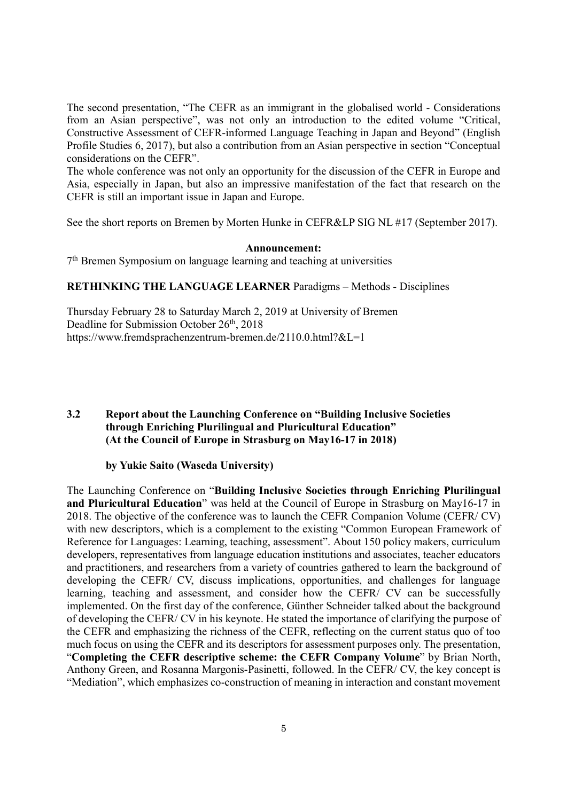The second presentation, "The CEFR as an immigrant in the globalised world - Considerations from an Asian perspective", was not only an introduction to the edited volume "Critical, Constructive Assessment of CEFR-informed Language Teaching in Japan and Beyond" (English Profile Studies 6, 2017), but also a contribution from an Asian perspective in section "Conceptual considerations on the CEFR".

The whole conference was not only an opportunity for the discussion of the CEFR in Europe and Asia, especially in Japan, but also an impressive manifestation of the fact that research on the CEFR is still an important issue in Japan and Europe.

See the short reports on Bremen by Morten Hunke in CEFR&LP SIG NL #17 (September 2017).

#### Announcement:

7 th Bremen Symposium on language learning and teaching at universities

RETHINKING THE LANGUAGE LEARNER Paradigms – Methods - Disciplines

Thursday February 28 to Saturday March 2, 2019 at University of Bremen Deadline for Submission October 26th, 2018 https://www.fremdsprachenzentrum-bremen.de/2110.0.html?&L=1

#### 3.2 Report about the Launching Conference on "Building Inclusive Societies through Enriching Plurilingual and Pluricultural Education" (At the Council of Europe in Strasburg on May16-17 in 2018)

by Yukie Saito (Waseda University)

The Launching Conference on "Building Inclusive Societies through Enriching Plurilingual and Pluricultural Education" was held at the Council of Europe in Strasburg on May16-17 in 2018. The objective of the conference was to launch the CEFR Companion Volume (CEFR/ CV) with new descriptors, which is a complement to the existing "Common European Framework of Reference for Languages: Learning, teaching, assessment". About 150 policy makers, curriculum developers, representatives from language education institutions and associates, teacher educators and practitioners, and researchers from a variety of countries gathered to learn the background of developing the CEFR/ CV, discuss implications, opportunities, and challenges for language learning, teaching and assessment, and consider how the CEFR/ CV can be successfully implemented. On the first day of the conference, Günther Schneider talked about the background of developing the CEFR/ CV in his keynote. He stated the importance of clarifying the purpose of the CEFR and emphasizing the richness of the CEFR, reflecting on the current status quo of too much focus on using the CEFR and its descriptors for assessment purposes only. The presentation, "Completing the CEFR descriptive scheme: the CEFR Company Volume" by Brian North, Anthony Green, and Rosanna Margonis-Pasinetti, followed. In the CEFR/ CV, the key concept is "Mediation", which emphasizes co-construction of meaning in interaction and constant movement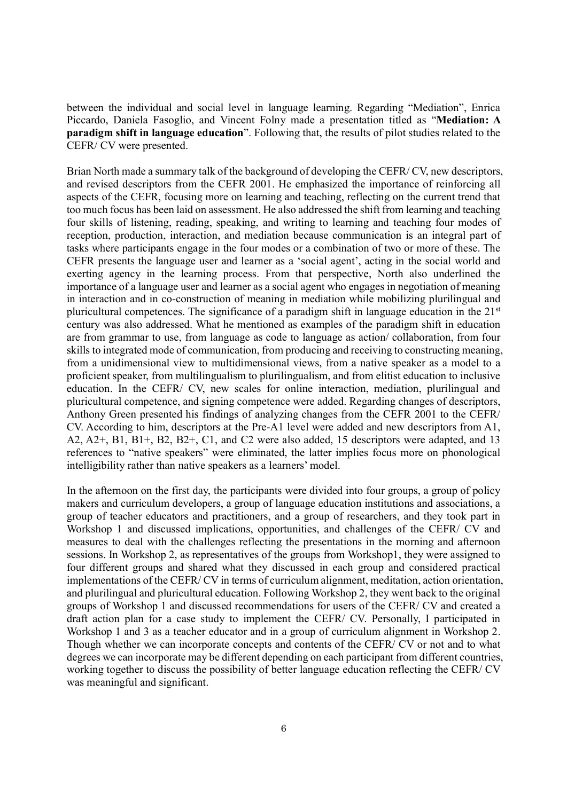between the individual and social level in language learning. Regarding "Mediation", Enrica Piccardo, Daniela Fasoglio, and Vincent Folny made a presentation titled as "Mediation: A paradigm shift in language education". Following that, the results of pilot studies related to the CEFR/ CV were presented.

Brian North made a summary talk of the background of developing the CEFR/ CV, new descriptors, and revised descriptors from the CEFR 2001. He emphasized the importance of reinforcing all aspects of the CEFR, focusing more on learning and teaching, reflecting on the current trend that too much focus has been laid on assessment. He also addressed the shift from learning and teaching four skills of listening, reading, speaking, and writing to learning and teaching four modes of reception, production, interaction, and mediation because communication is an integral part of tasks where participants engage in the four modes or a combination of two or more of these. The CEFR presents the language user and learner as a 'social agent', acting in the social world and exerting agency in the learning process. From that perspective, North also underlined the importance of a language user and learner as a social agent who engages in negotiation of meaning in interaction and in co-construction of meaning in mediation while mobilizing plurilingual and pluricultural competences. The significance of a paradigm shift in language education in the  $21<sup>st</sup>$ century was also addressed. What he mentioned as examples of the paradigm shift in education are from grammar to use, from language as code to language as action/ collaboration, from four skills to integrated mode of communication, from producing and receiving to constructing meaning, from a unidimensional view to multidimensional views, from a native speaker as a model to a proficient speaker, from multilingualism to plurilingualism, and from elitist education to inclusive education. In the CEFR/ CV, new scales for online interaction, mediation, plurilingual and pluricultural competence, and signing competence were added. Regarding changes of descriptors, Anthony Green presented his findings of analyzing changes from the CEFR 2001 to the CEFR/ CV. According to him, descriptors at the Pre-A1 level were added and new descriptors from A1, A2, A2+, B1, B1+, B2, B2+, C1, and C2 were also added, 15 descriptors were adapted, and 13 references to "native speakers" were eliminated, the latter implies focus more on phonological intelligibility rather than native speakers as a learners' model.

In the afternoon on the first day, the participants were divided into four groups, a group of policy makers and curriculum developers, a group of language education institutions and associations, a group of teacher educators and practitioners, and a group of researchers, and they took part in Workshop 1 and discussed implications, opportunities, and challenges of the CEFR/ CV and measures to deal with the challenges reflecting the presentations in the morning and afternoon sessions. In Workshop 2, as representatives of the groups from Workshop1, they were assigned to four different groups and shared what they discussed in each group and considered practical implementations of the CEFR/ CV in terms of curriculum alignment, meditation, action orientation, and plurilingual and pluricultural education. Following Workshop 2, they went back to the original groups of Workshop 1 and discussed recommendations for users of the CEFR/ CV and created a draft action plan for a case study to implement the CEFR/ CV. Personally, I participated in Workshop 1 and 3 as a teacher educator and in a group of curriculum alignment in Workshop 2. Though whether we can incorporate concepts and contents of the CEFR/ CV or not and to what degrees we can incorporate may be different depending on each participant from different countries, working together to discuss the possibility of better language education reflecting the CEFR/ CV was meaningful and significant.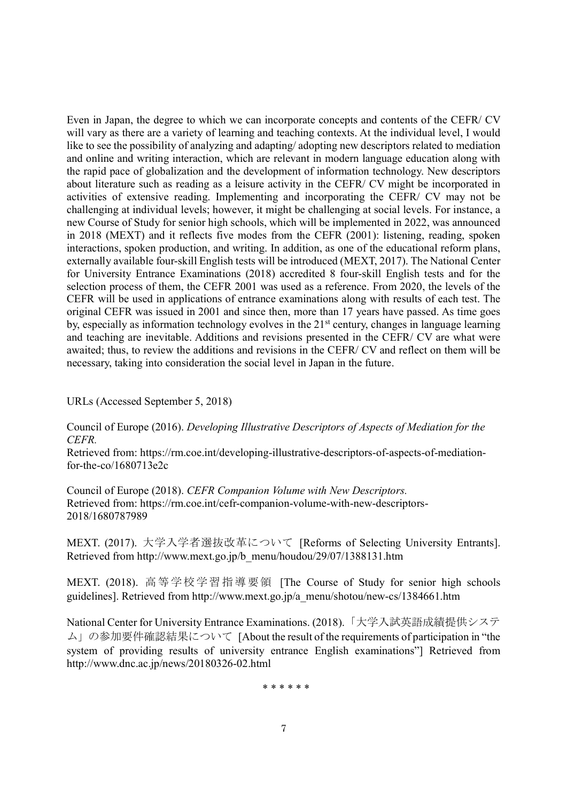Even in Japan, the degree to which we can incorporate concepts and contents of the CEFR/ CV will vary as there are a variety of learning and teaching contexts. At the individual level, I would like to see the possibility of analyzing and adapting/ adopting new descriptors related to mediation and online and writing interaction, which are relevant in modern language education along with the rapid pace of globalization and the development of information technology. New descriptors about literature such as reading as a leisure activity in the CEFR/ CV might be incorporated in activities of extensive reading. Implementing and incorporating the CEFR/ CV may not be challenging at individual levels; however, it might be challenging at social levels. For instance, a new Course of Study for senior high schools, which will be implemented in 2022, was announced in 2018 (MEXT) and it reflects five modes from the CEFR (2001): listening, reading, spoken interactions, spoken production, and writing. In addition, as one of the educational reform plans, externally available four-skill English tests will be introduced (MEXT, 2017). The National Center for University Entrance Examinations (2018) accredited 8 four-skill English tests and for the selection process of them, the CEFR 2001 was used as a reference. From 2020, the levels of the CEFR will be used in applications of entrance examinations along with results of each test. The original CEFR was issued in 2001 and since then, more than 17 years have passed. As time goes by, especially as information technology evolves in the 21<sup>st</sup> century, changes in language learning and teaching are inevitable. Additions and revisions presented in the CEFR/ CV are what were awaited; thus, to review the additions and revisions in the CEFR/ CV and reflect on them will be necessary, taking into consideration the social level in Japan in the future.

URLs (Accessed September 5, 2018)

Council of Europe (2016). Developing Illustrative Descriptors of Aspects of Mediation for the CEFR.

Retrieved from: https://rm.coe.int/developing-illustrative-descriptors-of-aspects-of-mediationfor-the-co/1680713e2c

Council of Europe (2018). CEFR Companion Volume with New Descriptors. Retrieved from: https://rm.coe.int/cefr-companion-volume-with-new-descriptors-2018/1680787989

MEXT. (2017). 大学入学者選抜改革について [Reforms of Selecting University Entrants]. Retrieved from http://www.mext.go.jp/b\_menu/houdou/29/07/1388131.htm

MEXT. (2018). 高等学校学習指導要領 [The Course of Study for senior high schools guidelines]. Retrieved from http://www.mext.go.jp/a\_menu/shotou/new-cs/1384661.htm

National Center for University Entrance Examinations. (2018).「大学入試英語成績提供システ ム」の参加要件確認結果について [About the result of the requirements of participation in "the system of providing results of university entrance English examinations"] Retrieved from http://www.dnc.ac.jp/news/20180326-02.html

\* \* \* \* \* \*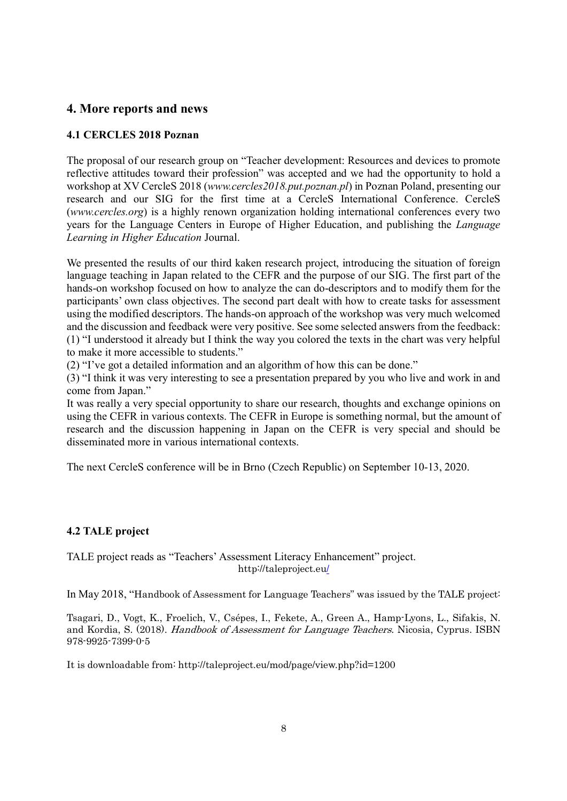## 4. More reports and news

#### 4.1 CERCLES 2018 Poznan

The proposal of our research group on "Teacher development: Resources and devices to promote reflective attitudes toward their profession" was accepted and we had the opportunity to hold a workshop at XV CercleS 2018 (www.cercles2018.put.poznan.pl) in Poznan Poland, presenting our research and our SIG for the first time at a CercleS International Conference. CercleS (www.cercles.org) is a highly renown organization holding international conferences every two years for the Language Centers in Europe of Higher Education, and publishing the Language Learning in Higher Education Journal.

We presented the results of our third kaken research project, introducing the situation of foreign language teaching in Japan related to the CEFR and the purpose of our SIG. The first part of the hands-on workshop focused on how to analyze the can do-descriptors and to modify them for the participants' own class objectives. The second part dealt with how to create tasks for assessment using the modified descriptors. The hands-on approach of the workshop was very much welcomed and the discussion and feedback were very positive. See some selected answers from the feedback: (1) "I understood it already but I think the way you colored the texts in the chart was very helpful to make it more accessible to students."

(2) "I've got a detailed information and an algorithm of how this can be done."

(3) "I think it was very interesting to see a presentation prepared by you who live and work in and come from Japan."

It was really a very special opportunity to share our research, thoughts and exchange opinions on using the CEFR in various contexts. The CEFR in Europe is something normal, but the amount of research and the discussion happening in Japan on the CEFR is very special and should be disseminated more in various international contexts.

The next CercleS conference will be in Brno (Czech Republic) on September 10-13, 2020.

## 4.2 TALE project

TALE project reads as "Teachers' Assessment Literacy Enhancement" project. http://taleproject.eu/

In May 2018, "Handbook of Assessment for Language Teachers" was issued by the TALE project:

Tsagari, D., Vogt, K., Froelich, V., Csépes, I., Fekete, A., Green A., Hamp-Lyons, L., Sifakis, N. and Kordia, S. (2018). Handbook of Assessment for Language Teachers. Nicosia, Cyprus. ISBN 978-9925-7399-0-5

It is downloadable from: http://taleproject.eu/mod/page/view.php?id=1200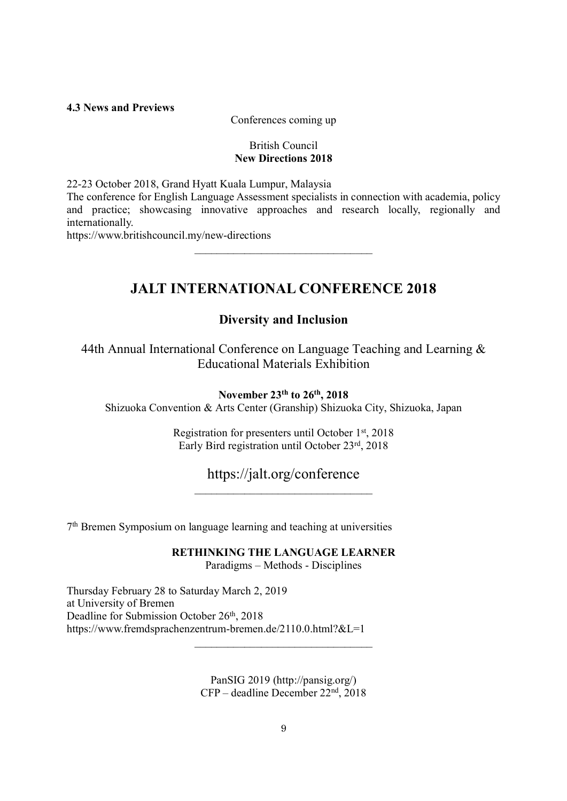#### 4.3 News and Previews

Conferences coming up

#### British Council New Directions 2018

22-23 October 2018, Grand Hyatt Kuala Lumpur, Malaysia

The conference for English Language Assessment specialists in connection with academia, policy and practice; showcasing innovative approaches and research locally, regionally and internationally.

 $\mathcal{L}_\text{max}$ 

https://www.britishcouncil.my/new-directions

## JALT INTERNATIONAL CONFERENCE 2018

## Diversity and Inclusion

44th Annual International Conference on Language Teaching and Learning & Educational Materials Exhibition

## November 23th to 26th, 2018

Shizuoka Convention & Arts Center (Granship) Shizuoka City, Shizuoka, Japan

Registration for presenters until October 1st, 2018 Early Bird registration until October 23rd, 2018

https://jalt.org/conference \_\_\_\_\_\_\_\_\_\_\_\_\_\_\_\_\_\_\_\_\_\_\_\_\_\_\_\_\_\_\_\_

7 th Bremen Symposium on language learning and teaching at universities

RETHINKING THE LANGUAGE LEARNER Paradigms – Methods - Disciplines

Thursday February 28 to Saturday March 2, 2019 at University of Bremen Deadline for Submission October 26<sup>th</sup>, 2018 https://www.fremdsprachenzentrum-bremen.de/2110.0.html?&L=1

> PanSIG 2019 (http://pansig.org/) CFP – deadline December 22nd, 2018

\_\_\_\_\_\_\_\_\_\_\_\_\_\_\_\_\_\_\_\_\_\_\_\_\_\_\_\_\_\_\_\_